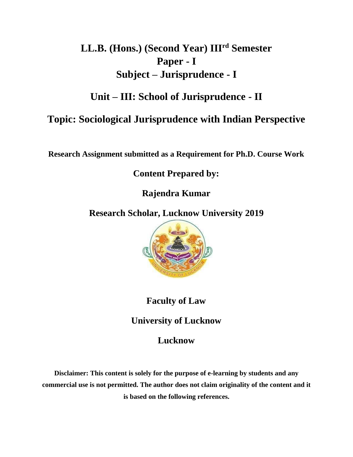# **LL.B. (Hons.) (Second Year) IIIrd Semester Paper - I Subject – Jurisprudence - I**

# **Unit – III: School of Jurisprudence - II**

# **Topic: Sociological Jurisprudence with Indian Perspective**

**Research Assignment submitted as a Requirement for Ph.D. Course Work**

**Content Prepared by:**

**Rajendra Kumar**

**Research Scholar, Lucknow University 2019**



**Faculty of Law**

**University of Lucknow**

**Lucknow**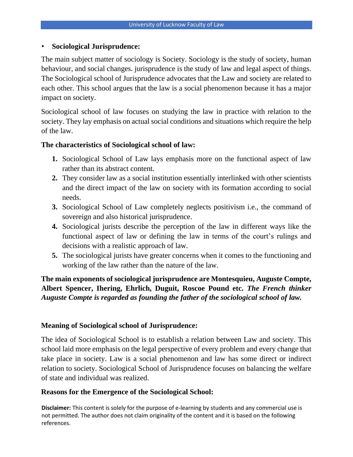# • **Sociological Jurisprudence:**

The main subject matter of sociology is Society. Sociology is the study of society, human behaviour, and social changes. jurisprudence is the study of law and legal aspect of things. The Sociological school of Jurisprudence advocates that the Law and society are related to each other. This school argues that the law is a social phenomenon because it has a major impact on society.

Sociological school of law focuses on studying the law in practice with relation to the society. They lay emphasis on actual social conditions and situations which require the help of the law.

# **The characteristics of Sociological school of law:**

- **1.** Sociological School of Law lays emphasis more on the functional aspect of law rather than its abstract content.
- **2.** They consider law as a social institution essentially interlinked with other scientists and the direct impact of the law on society with its formation according to social needs.
- **3.** Sociological School of Law completely neglects positivism i.e., the command of sovereign and also historical jurisprudence.
- **4.** Sociological jurists describe the perception of the law in different ways like the functional aspect of law or defining the law in terms of the court's rulings and decisions with a realistic approach of law.
- **5.** The sociological jurists have greater concerns when it comes to the functioning and working of the law rather than the nature of the law.

**The main exponents of sociological jurisprudence are Montesquieu, Auguste Compte, Albert Spencer, Ihering, Ehrlich, Duguit, Roscoe Pound etc.** *The French thinker Auguste Compte is regarded as founding the father of the sociological school of law.* 

## **Meaning of Sociological school of Jurisprudence:**

The idea of Sociological School is to establish a relation between Law and society. This school laid more emphasis on the legal perspective of every problem and every change that take place in society. Law is a social phenomenon and law has some direct or indirect relation to society. Sociological School of Jurisprudence focuses on balancing the welfare of state and individual was realized.

# **Reasons for the Emergence of the Sociological School:**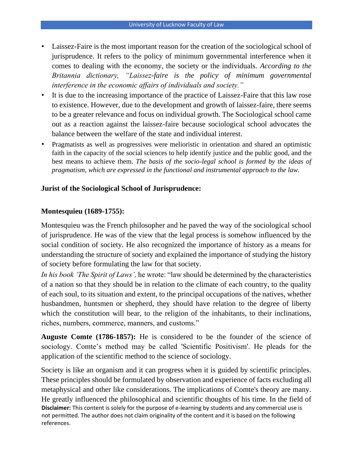- Laissez-Faire is the most important reason for the creation of the sociological school of jurisprudence. It refers to the policy of minimum governmental interference when it comes to dealing with the economy, the society or the individuals. *According to the Britannia dictionary, "Laissez-faire is the policy of minimum governmental interference in the economic affairs of individuals and society."*
- It is due to the increasing importance of the practice of Laissez-Faire that this law rose to existence. However, due to the development and growth of laissez-faire, there seems to be a greater relevance and focus on individual growth. The Sociological school came out as a reaction against the laissez-faire because sociological school advocates the balance between the welfare of the state and individual interest.
- Pragmatists as well as progressives were melioristic in orientation and shared an optimistic faith in the capacity of the social sciences to help identify justice and the public good, and the best means to achieve them. *The basis of the socio-legal school is formed by the ideas of pragmatism, which are expressed in the functional and instrumental approach to the law.*

## **Jurist of the Sociological School of Jurisprudence:**

#### **Montesquieu (1689-1755):**

Montesquieu was the French philosopher and he paved the way of the sociological school of jurisprudence. He was of the view that the legal process is somehow influenced by the social condition of society. He also recognized the importance of history as a means for understanding the structure of society and explained the importance of studying the history of society before formulating the law for that society.

*In his book 'The Spirit of Laws',* he wrote: "law should be determined by the characteristics of a nation so that they should be in relation to the climate of each country, to the quality of each soul, to its situation and extent, to the principal occupations of the natives, whether husbandmen, huntsmen or shepherd, they should have relation to the degree of liberty which the constitution will bear, to the religion of the inhabitants, to their inclinations, riches, numbers, commerce, manners, and customs."

**Auguste Comte (1786-1857):** He is considered to be the founder of the science of sociology. Comte's method may be called 'Scientific Positivism'. He pleads for the application of the scientific method to the science of sociology.

**Disclaimer:** This content is solely for the purpose of e-learning by students and any commercial use is not permitted. The author does not claim originality of the content and it is based on the following references. Society is like an organism and it can progress when it is guided by scientific principles. These principles should be formulated by observation and experience of facts excluding all metaphysical and other like considerations. The implications of Comte's theory are many. He greatly influenced the philosophical and scientific thoughts of his time. In the field of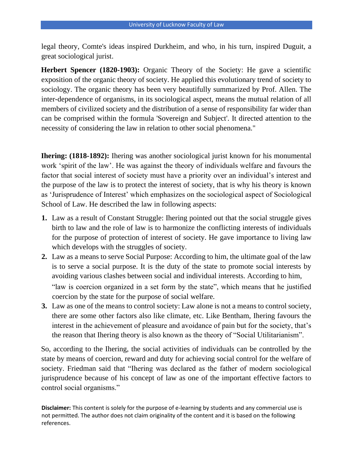legal theory, Comte's ideas inspired Durkheim, and who, in his turn, inspired Duguit, a great sociological jurist.

**Herbert Spencer (1820-1903):** Organic Theory of the Society: He gave a scientific exposition of the organic theory of society. He applied this evolutionary trend of society to sociology. The organic theory has been very beautifully summarized by Prof. Allen. The inter-dependence of organisms, in its sociological aspect, means the mutual relation of all members of civilized society and the distribution of a sense of responsibility far wider than can be comprised within the formula 'Sovereign and Subject'. It directed attention to the necessity of considering the law in relation to other social phenomena."

**Ihering: (1818-1892):** Ihering was another sociological jurist known for his monumental work 'spirit of the law'. He was against the theory of individuals welfare and favours the factor that social interest of society must have a priority over an individual's interest and the purpose of the law is to protect the interest of society, that is why his theory is known as 'Jurisprudence of Interest' which emphasizes on the sociological aspect of Sociological School of Law. He described the law in following aspects:

- **1.** Law as a result of Constant Struggle: Ihering pointed out that the social struggle gives birth to law and the role of law is to harmonize the conflicting interests of individuals for the purpose of protection of interest of society. He gave importance to living law which develops with the struggles of society.
- **2.** Law as a means to serve Social Purpose: According to him, the ultimate goal of the law is to serve a social purpose. It is the duty of the state to promote social interests by avoiding various clashes between social and individual interests. According to him, "law is coercion organized in a set form by the state", which means that he justified coercion by the state for the purpose of social welfare.
- **3.** Law as one of the means to control society: Law alone is not a means to control society, there are some other factors also like climate, etc. Like Bentham, Ihering favours the interest in the achievement of pleasure and avoidance of pain but for the society, that's the reason that Ihering theory is also known as the theory of "Social Utilitarianism".

So, according to the Ihering, the social activities of individuals can be controlled by the state by means of coercion, reward and duty for achieving social control for the welfare of society. Friedman said that "Ihering was declared as the father of modern sociological jurisprudence because of his concept of law as one of the important effective factors to control social organisms."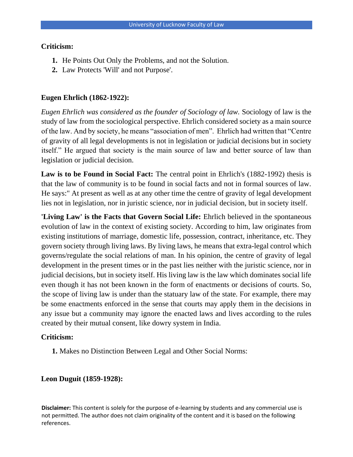#### **Criticism:**

- **1.** He Points Out Only the Problems, and not the Solution.
- **2.** Law Protects 'Will' and not Purpose'.

## **Eugen Ehrlich (1862-1922):**

*Eugen Ehrlich was considered as the founder of Sociology of law.* Sociology of law is the study of law from the sociological perspective. Ehrlich considered society as a main source of the law. And by society, he means "association of men". Ehrlich had written that "Centre of gravity of all legal developments is not in legislation or judicial decisions but in society itself." He argued that society is the main source of law and better source of law than legislation or judicial decision.

**Law is to be Found in Social Fact:** The central point in Ehrlich's (1882-1992) thesis is that the law of community is to be found in social facts and not in formal sources of law. He says:" At present as well as at any other time the centre of gravity of legal development lies not in legislation, nor in juristic science, nor in judicial decision, but in society itself.

**'Living Law' is the Facts that Govern Social Life:** Ehrlich believed in the spontaneous evolution of law in the context of existing society. According to him, law originates from existing institutions of marriage, domestic life, possession, contract, inheritance, etc. They govern society through living laws. By living laws, he means that extra-legal control which governs/regulate the social relations of man. In his opinion, the centre of gravity of legal development in the present times or in the past lies neither with the juristic science, nor in judicial decisions, but in society itself. His living law is the law which dominates social life even though it has not been known in the form of enactments or decisions of courts. So, the scope of living law is under than the statuary law of the state. For example, there may be some enactments enforced in the sense that courts may apply them in the decisions in any issue but a community may ignore the enacted laws and lives according to the rules created by their mutual consent, like dowry system in India.

## **Criticism:**

**1.** Makes no Distinction Between Legal and Other Social Norms:

## **Leon Duguit (1859-1928):**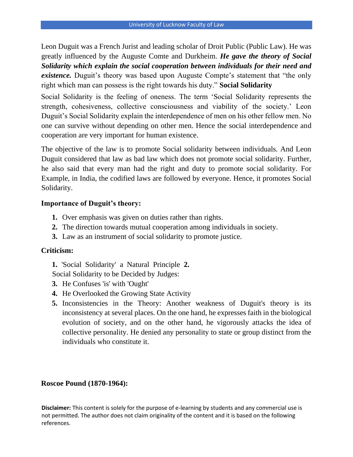Leon Duguit was a French Jurist and leading scholar of Droit Public (Public Law). He was greatly influenced by the Auguste Comte and Durkheim. *He gave the theory of Social Solidarity which explain the social cooperation between individuals for their need and existence*. Duguit's theory was based upon Auguste Compte's statement that "the only right which man can possess is the right towards his duty." **Social Solidarity** 

Social Solidarity is the feeling of oneness. The term 'Social Solidarity represents the strength, cohesiveness, collective consciousness and viability of the society.' Leon Duguit's Social Solidarity explain the interdependence of men on his other fellow men. No one can survive without depending on other men. Hence the social interdependence and cooperation are very important for human existence.

The objective of the law is to promote Social solidarity between individuals. And Leon Duguit considered that law as bad law which does not promote social solidarity. Further, he also said that every man had the right and duty to promote social solidarity. For Example, in India, the codified laws are followed by everyone. Hence, it promotes Social Solidarity.

#### **Importance of Duguit's theory:**

- **1.** Over emphasis was given on duties rather than rights.
- **2.** The direction towards mutual cooperation among individuals in society.
- **3.** Law as an instrument of social solidarity to promote justice.

# **Criticism:**

**1.** 'Social Solidarity' a Natural Principle **2.**

Social Solidarity to be Decided by Judges:

- **3.** He Confuses 'is' with 'Ought'
- **4.** He Overlooked the Growing State Activity
- **5.** Inconsistencies in the Theory: Another weakness of Duguit's theory is its inconsistency at several places. On the one hand, he expresses faith in the biological evolution of society, and on the other hand, he vigorously attacks the idea of collective personality. He denied any personality to state or group distinct from the individuals who constitute it.

#### **Roscoe Pound (1870-1964):**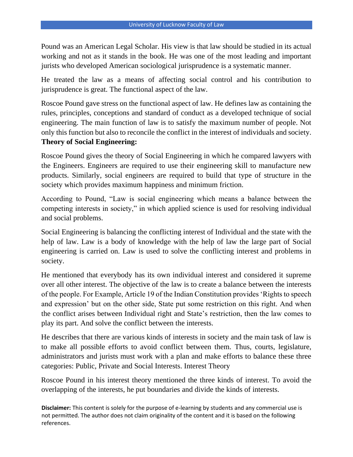Pound was an American Legal Scholar. His view is that law should be studied in its actual working and not as it stands in the book. He was one of the most leading and important jurists who developed American sociological jurisprudence is a systematic manner.

He treated the law as a means of affecting social control and his contribution to jurisprudence is great. The functional aspect of the law.

Roscoe Pound gave stress on the functional aspect of law. He defines law as containing the rules, principles, conceptions and standard of conduct as a developed technique of social engineering. The main function of law is to satisfy the maximum number of people. Not only this function but also to reconcile the conflict in the interest of individuals and society. **Theory of Social Engineering:** 

Roscoe Pound gives the theory of Social Engineering in which he compared lawyers with the Engineers. Engineers are required to use their engineering skill to manufacture new products. Similarly, social engineers are required to build that type of structure in the society which provides maximum happiness and minimum friction.

According to Pound, "Law is social engineering which means a balance between the competing interests in society," in which applied science is used for resolving individual and social problems.

Social Engineering is balancing the conflicting interest of Individual and the state with the help of law. Law is a body of knowledge with the help of law the large part of Social engineering is carried on. Law is used to solve the conflicting interest and problems in society.

He mentioned that everybody has its own individual interest and considered it supreme over all other interest. The objective of the law is to create a balance between the interests of the people. For Example, Article 19 of the Indian Constitution provides 'Rights to speech and expression' but on the other side, State put some restriction on this right. And when the conflict arises between Individual right and State's restriction, then the law comes to play its part. And solve the conflict between the interests.

He describes that there are various kinds of interests in society and the main task of law is to make all possible efforts to avoid conflict between them. Thus, courts, legislature, administrators and jurists must work with a plan and make efforts to balance these three categories: Public, Private and Social Interests. Interest Theory

Roscoe Pound in his interest theory mentioned the three kinds of interest. To avoid the overlapping of the interests, he put boundaries and divide the kinds of interests.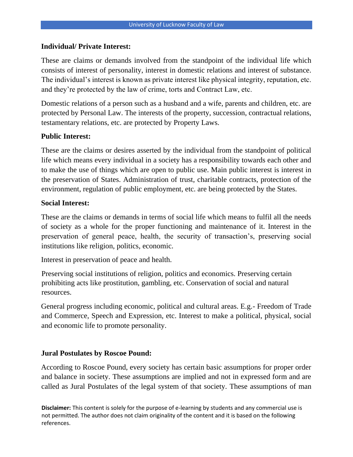#### **Individual/ Private Interest:**

These are claims or demands involved from the standpoint of the individual life which consists of interest of personality, interest in domestic relations and interest of substance. The individual's interest is known as private interest like physical integrity, reputation, etc. and they're protected by the law of crime, torts and Contract Law, etc.

Domestic relations of a person such as a husband and a wife, parents and children, etc. are protected by Personal Law. The interests of the property, succession, contractual relations, testamentary relations, etc. are protected by Property Laws.

#### **Public Interest:**

These are the claims or desires asserted by the individual from the standpoint of political life which means every individual in a society has a responsibility towards each other and to make the use of things which are open to public use. Main public interest is interest in the preservation of States. Administration of trust, charitable contracts, protection of the environment, regulation of public employment, etc. are being protected by the States.

#### **Social Interest:**

These are the claims or demands in terms of social life which means to fulfil all the needs of society as a whole for the proper functioning and maintenance of it. Interest in the preservation of general peace, health, the security of transaction's, preserving social institutions like religion, politics, economic.

Interest in preservation of peace and health.

Preserving social institutions of religion, politics and economics. Preserving certain prohibiting acts like prostitution, gambling, etc. Conservation of social and natural resources.

General progress including economic, political and cultural areas. E.g.- Freedom of Trade and Commerce, Speech and Expression, etc. Interest to make a political, physical, social and economic life to promote personality.

## **Jural Postulates by Roscoe Pound:**

According to Roscoe Pound, every society has certain basic assumptions for proper order and balance in society. These assumptions are implied and not in expressed form and are called as Jural Postulates of the legal system of that society. These assumptions of man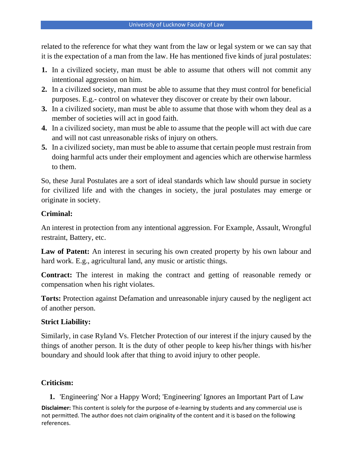related to the reference for what they want from the law or legal system or we can say that it is the expectation of a man from the law. He has mentioned five kinds of jural postulates:

- **1.** In a civilized society, man must be able to assume that others will not commit any intentional aggression on him.
- **2.** In a civilized society, man must be able to assume that they must control for beneficial purposes. E.g.- control on whatever they discover or create by their own labour.
- **3.** In a civilized society, man must be able to assume that those with whom they deal as a member of societies will act in good faith.
- **4.** In a civilized society, man must be able to assume that the people will act with due care and will not cast unreasonable risks of injury on others.
- **5.** In a civilized society, man must be able to assume that certain people must restrain from doing harmful acts under their employment and agencies which are otherwise harmless to them.

So, these Jural Postulates are a sort of ideal standards which law should pursue in society for civilized life and with the changes in society, the jural postulates may emerge or originate in society.

# **Criminal:**

An interest in protection from any intentional aggression. For Example, Assault, Wrongful restraint, Battery, etc.

Law of Patent: An interest in securing his own created property by his own labour and hard work. E.g., agricultural land, any music or artistic things.

**Contract:** The interest in making the contract and getting of reasonable remedy or compensation when his right violates.

**Torts:** Protection against Defamation and unreasonable injury caused by the negligent act of another person.

# **Strict Liability:**

Similarly, in case Ryland Vs. Fletcher Protection of our interest if the injury caused by the things of another person. It is the duty of other people to keep his/her things with his/her boundary and should look after that thing to avoid injury to other people.

# **Criticism:**

**Disclaimer:** This content is solely for the purpose of e-learning by students and any commercial use is not permitted. The author does not claim originality of the content and it is based on the following references. **1.** 'Engineering' Nor a Happy Word; 'Engineering' Ignores an Important Part of Law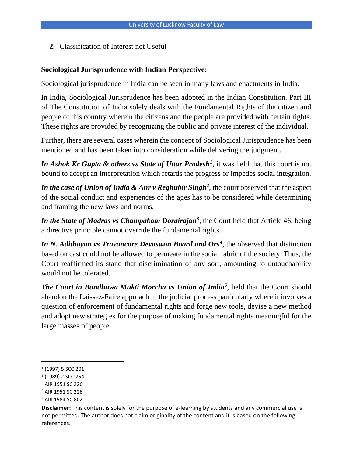**2.** Classification of Interest not Useful

#### **Sociological Jurisprudence with Indian Perspective:**

Sociological jurisprudence in India can be seen in many laws and enactments in India.

In India, Sociological Jurisprudence has been adopted in the Indian Constitution. Part III of The Constitution of India solely deals with the Fundamental Rights of the citizen and people of this country wherein the citizens and the people are provided with certain rights. These rights are provided by recognizing the public and private interest of the individual.

Further, there are several cases wherein the concept of Sociological Jurisprudence has been mentioned and has been taken into consideration while delivering the judgment.

In Ashok Kr Gupta & others vs State of Uttar Pradesh<sup>1</sup>, it was held that this court is not bound to accept an interpretation which retards the progress or impedes social integration.

In the case of Union of India & Anr v Reghubir Singh<sup>2</sup>, the court observed that the aspect of the social conduct and experiences of the ages has to be considered while determining and framing the new laws and norms.

*In the State of Madras vs Champakam Dorairajan<sup>3</sup>* , the Court held that Article 46, being a directive principle cannot override the fundamental rights.

In N. Adithayan vs Travancore Devaswon Board and Ors<sup>4</sup>, the observed that distinction based on cast could not be allowed to permeate in the social fabric of the society. Thus, the Court reaffirmed its stand that discrimination of any sort, amounting to untouchability would not be tolerated.

*The Court in Bandhowa Mukti Morcha vs Union of India<sup>5</sup>* , held that the Court should abandon the Laissez-Faire approach in the judicial process particularly where it involves a question of enforcement of fundamental rights and forge new tools, devise a new method and adopt new strategies for the purpose of making fundamental rights meaningful for the large masses of people.

<sup>1</sup> (1997) 5 SCC 201

<sup>2</sup> (1989) 2 SCC 754

<sup>3</sup> AIR 1951 SC 226

<sup>4</sup> AIR 1951 SC 226

<sup>5</sup> AIR 1984 SC 802

**Disclaimer:** This content is solely for the purpose of e-learning by students and any commercial use is not permitted. The author does not claim originality of the content and it is based on the following references.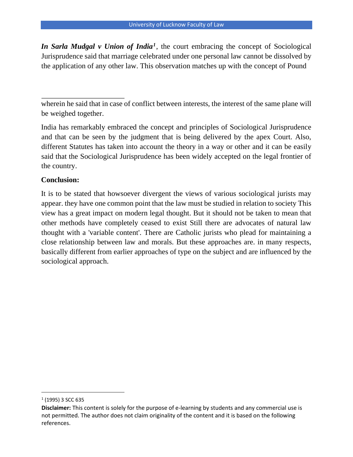*In Sarla Mudgal v Union of India<sup>1</sup>* , the court embracing the concept of Sociological Jurisprudence said that marriage celebrated under one personal law cannot be dissolved by the application of any other law. This observation matches up with the concept of Pound

wherein he said that in case of conflict between interests, the interest of the same plane will be weighed together.

India has remarkably embraced the concept and principles of Sociological Jurisprudence and that can be seen by the judgment that is being delivered by the apex Court. Also, different Statutes has taken into account the theory in a way or other and it can be easily said that the Sociological Jurisprudence has been widely accepted on the legal frontier of the country.

# **Conclusion:**

It is to be stated that howsoever divergent the views of various sociological jurists may appear. they have one common point that the law must be studied in relation to society This view has a great impact on modern legal thought. But it should not be taken to mean that other methods have completely ceased to exist Still there are advocates of natural law thought with a 'variable content'. There are Catholic jurists who plead for maintaining a close relationship between law and morals. But these approaches are. in many respects, basically different from earlier approaches of type on the subject and are influenced by the sociological approach.

<sup>1</sup> (1995) 3 SCC 635

**Disclaimer:** This content is solely for the purpose of e-learning by students and any commercial use is not permitted. The author does not claim originality of the content and it is based on the following references.